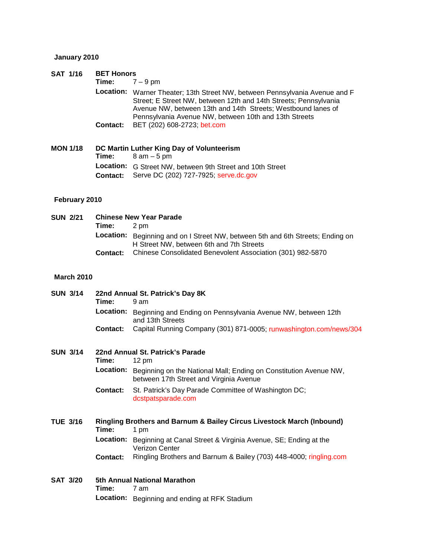### **January 2010**

| <b>SAT 1/16</b> | <b>BET Honors</b>                         |                                                                                                                                                                                                                                                                          |  |
|-----------------|-------------------------------------------|--------------------------------------------------------------------------------------------------------------------------------------------------------------------------------------------------------------------------------------------------------------------------|--|
|                 | Time:                                     | $7 - 9$ pm                                                                                                                                                                                                                                                               |  |
|                 |                                           | Location: Warner Theater; 13th Street NW, between Pennsylvania Avenue and F<br>Street; E Street NW, between 12th and 14th Streets; Pennsylvania<br>Avenue NW, between 13th and 14th Streets; Westbound lanes of<br>Pennsylvania Avenue NW, between 10th and 13th Streets |  |
|                 | <b>Contact:</b>                           | BET (202) 608-2723; bet.com                                                                                                                                                                                                                                              |  |
| <b>MON 1/18</b> | DC Martin Luther King Day of Volunteerism |                                                                                                                                                                                                                                                                          |  |
|                 | Time:                                     | $8$ am $-5$ pm                                                                                                                                                                                                                                                           |  |
|                 |                                           | Location: G Street NW, between 9th Street and 10th Street                                                                                                                                                                                                                |  |
|                 | Contact:                                  | Serve DC (202) 727-7925; serve.dc.gov                                                                                                                                                                                                                                    |  |
| February 2010   |                                           |                                                                                                                                                                                                                                                                          |  |
| <b>CUBLA</b>    |                                           | Aldenna Naus Vann Baussla                                                                                                                                                                                                                                                |  |

**SUN 2/21 Chinese New Year Parade Time: Location:** Beginning and on I Street NW, between 5th and 6th Streets; Ending on H Street NW, between 6th and 7th Streets **Contact:** Chinese Consolidated Benevolent Association (301) 982-5870

### **March 2010**

| <b>SUN 3/14</b> | Time:            | 22nd Annual St. Patrick's Day 8K<br>9 am                                                                     |
|-----------------|------------------|--------------------------------------------------------------------------------------------------------------|
|                 | <b>Location:</b> | Beginning and Ending on Pennsylvania Avenue NW, between 12th<br>and 13th Streets                             |
|                 | Contact:         | Capital Running Company (301) 871-0005; runwashington.com/news/304                                           |
| <b>SUN 3/14</b> | Time:            | 22nd Annual St. Patrick's Parade<br>$12 \text{ pm}$                                                          |
|                 | <b>Location:</b> | Beginning on the National Mall; Ending on Constitution Avenue NW,<br>between 17th Street and Virginia Avenue |
|                 | Contact:         | St. Patrick's Day Parade Committee of Washington DC;<br>dcstpatsparade.com                                   |
| <b>TUE 3/16</b> | Time:            | Ringling Brothers and Barnum & Bailey Circus Livestock March (Inbound)<br>1 pm                               |
|                 | Location:        | Beginning at Canal Street & Virginia Avenue, SE; Ending at the<br>Verizon Center                             |
|                 | Contact:         | Ringling Brothers and Barnum & Bailey (703) 448-4000; ringling.com                                           |
| <b>SAT 3/20</b> | Time:            | 5th Annual National Marathon<br>7 am                                                                         |
|                 |                  | Location: Beginning and ending at RFK Stadium                                                                |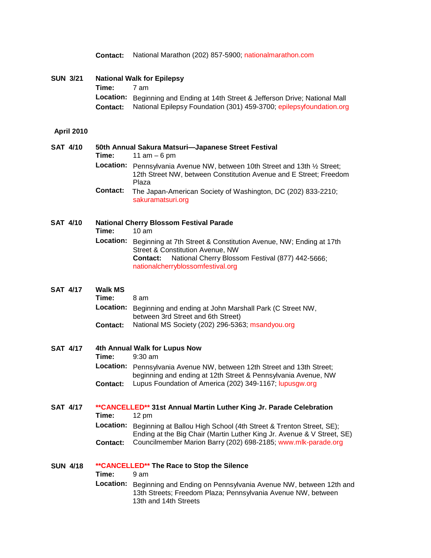|  |  |  | Contact: National Marathon (202) 857-5900; nationalmarathon.com |
|--|--|--|-----------------------------------------------------------------|
|--|--|--|-----------------------------------------------------------------|

| <b>SUN 3/21</b> | <b>National Walk for Epilepsy</b> |                                                                                |  |
|-----------------|-----------------------------------|--------------------------------------------------------------------------------|--|
|                 | Time:                             | 7 am                                                                           |  |
|                 |                                   | Location: Beginning and Ending at 14th Street & Jefferson Drive; National Mall |  |
|                 |                                   | Contact: National Epilepsy Foundation (301) 459-3700; epilepsyfoundation.org   |  |

### **April 2010**

| <b>SAT 4/10</b> | Time:           | 50th Annual Sakura Matsuri-Japanese Street Festival<br>11 am $-6$ pm                                                                                     |  |
|-----------------|-----------------|----------------------------------------------------------------------------------------------------------------------------------------------------------|--|
|                 |                 | Location: Pennsylvania Avenue NW, between 10th Street and 13th 1/2 Street;<br>12th Street NW, between Constitution Avenue and E Street; Freedom<br>Plaza |  |
|                 | <b>Contact:</b> | The Japan-American Society of Washington, DC (202) 833-2210;<br>sakuramatsuri.org                                                                        |  |
| <b>SAT 4/10</b> | Time:           | <b>National Cherry Blossom Festival Parade</b><br>$10 \text{ am}$                                                                                        |  |
|                 |                 | <b>LOCAtion:</b> Reginning at 7th Street & Constitution Avenue, NW: Ending at 17th                                                                       |  |

**Location:** Beginning at 7th Street & Constitution Avenue, NW; Ending at 17th Street & Constitution Avenue, NW **Contact:** National Cherry Blossom Festival (877) 442-5666; [nationalcherryblossomfestival.org](http://www.nationalcherryblossomfestival.org/)

### **SAT 4/17 Walk MS**

| 8 am<br>ime: |  |
|--------------|--|
|--------------|--|

|          | Location: Beginning and ending at John Marshall Park (C Street NW, |
|----------|--------------------------------------------------------------------|
|          | between 3rd Street and 6th Street)                                 |
| Contact: | National MS Society (202) 296-5363; msandyou.org                   |

### **SAT 4/17 4th Annual Walk for Lupus Now**

**Time:** 9:30 am

Location: Pennsylvania Avenue NW, between 12th Street and 13th Street; beginning and ending at 12th Street & Pennsylvania Avenue, NW **Contact:** Lupus Foundation of America (202) 349-1167; [lupusgw.org](http://www.lupusgw.org/)

### **SAT 4/17 \*\*CANCELLED\*\* 31st Annual Martin Luther King Jr. Parade Celebration Time:** 12 pm

**Location:** Beginning at Ballou High School (4th Street & Trenton Street, SE); Ending at the Big Chair (Martin Luther King Jr. Avenue & V Street, SE) **Contact:** Councilmember Marion Barry (202) 698-2185; [www.mlk-parade.org](http://www.mlk-parade.org/)

### **SUN 4/18 \*\*CANCELLED\*\* The Race to Stop the Silence**

**Time:** 9 am

**Location:** Beginning and Ending on Pennsylvania Avenue NW, between 12th and 13th Streets; Freedom Plaza; Pennsylvania Avenue NW, between 13th and 14th Streets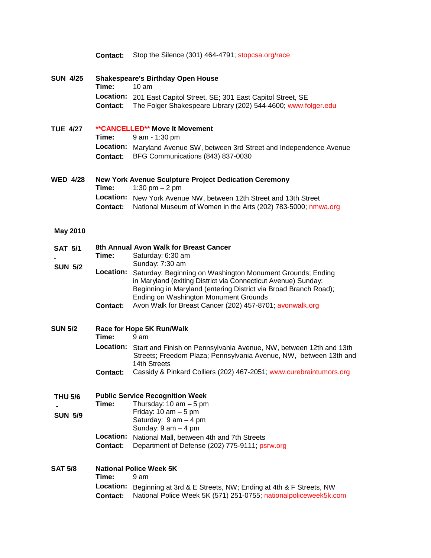|                                  | <b>Contact:</b>              | Stop the Silence (301) 464-4791; stopcsa.org/race                                                                                                                                                                                                                                                                       |
|----------------------------------|------------------------------|-------------------------------------------------------------------------------------------------------------------------------------------------------------------------------------------------------------------------------------------------------------------------------------------------------------------------|
| SUN 4/25                         | Time:                        | <b>Shakespeare's Birthday Open House</b><br>10 <sub>am</sub>                                                                                                                                                                                                                                                            |
|                                  | <b>Contact:</b>              | Location: 201 East Capitol Street, SE; 301 East Capitol Street, SE<br>The Folger Shakespeare Library (202) 544-4600; www.folger.edu                                                                                                                                                                                     |
| <b>TUE 4/27</b>                  | Time:                        | <b>**CANCELLED** Move It Movement</b><br>9 am - 1:30 pm                                                                                                                                                                                                                                                                 |
|                                  | <b>Contact:</b>              | Location: Maryland Avenue SW, between 3rd Street and Independence Avenue<br>BFG Communications (843) 837-0030                                                                                                                                                                                                           |
| WED 4/28                         | Time:                        | <b>New York Avenue Sculpture Project Dedication Ceremony</b><br>1:30 pm $- 2$ pm                                                                                                                                                                                                                                        |
|                                  | <b>Contact:</b>              | Location: New York Avenue NW, between 12th Street and 13th Street<br>National Museum of Women in the Arts (202) 783-5000; nmwa.org                                                                                                                                                                                      |
| <b>May 2010</b>                  |                              |                                                                                                                                                                                                                                                                                                                         |
| <b>SAT 5/1</b>                   | Time:                        | 8th Annual Avon Walk for Breast Cancer<br>Saturday: 6:30 am                                                                                                                                                                                                                                                             |
| <b>SUN 5/2</b>                   | Location:<br><b>Contact:</b> | Sunday: 7:30 am<br>Saturday: Beginning on Washington Monument Grounds; Ending<br>in Maryland (exiting District via Connecticut Avenue) Sunday:<br>Beginning in Maryland (entering District via Broad Branch Road);<br>Ending on Washington Monument Grounds<br>Avon Walk for Breast Cancer (202) 457-8701; avonwalk.org |
| SUN 5/2                          | Time:                        | Race for Hope 5K Run/Walk<br>$9 \text{ am}$                                                                                                                                                                                                                                                                             |
|                                  | <b>Location:</b>             | Start and Finish on Pennsylvania Avenue, NW, between 12th and 13th<br>Streets; Freedom Plaza; Pennsylvania Avenue, NW, between 13th and<br>14th Streets                                                                                                                                                                 |
|                                  | <b>Contact:</b>              | Cassidy & Pinkard Colliers (202) 467-2051; www.curebraintumors.org                                                                                                                                                                                                                                                      |
| <b>THU 5/6</b><br><b>SUN 5/9</b> | Time:                        | <b>Public Service Recognition Week</b><br>Thursday: $10 \text{ am} - 5 \text{ pm}$<br>Friday: $10 \text{ am} - 5 \text{ pm}$<br>Saturday: $9 \text{ am} - 4 \text{ pm}$<br>Sunday: $9$ am $-$ 4 pm                                                                                                                      |
|                                  | Location:<br><b>Contact:</b> | National Mall, between 4th and 7th Streets<br>Department of Defense (202) 775-9111; psrw.org                                                                                                                                                                                                                            |
| SAT 5/8                          | Time:                        | <b>National Police Week 5K</b><br>9 am                                                                                                                                                                                                                                                                                  |
|                                  | Location:<br>Contact:        | Beginning at 3rd & E Streets, NW; Ending at 4th & F Streets, NW<br>National Police Week 5K (571) 251-0755; nationalpoliceweek5k.com                                                                                                                                                                                     |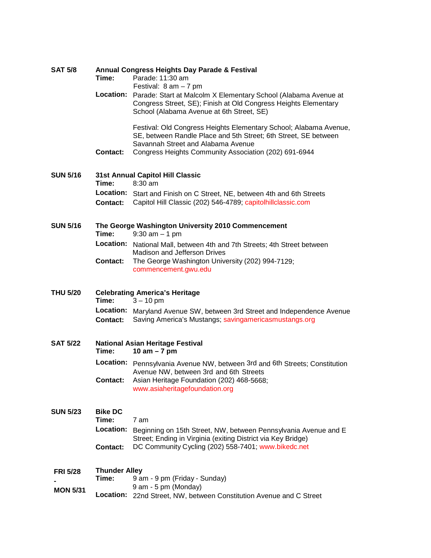| <b>SAT 5/8</b>  | Time:<br>Location:<br><b>Contact:</b> | Annual Congress Heights Day Parade & Festival<br>Parade: 11:30 am<br>Festival: $8 \text{ am} - 7 \text{ pm}$<br>Parade: Start at Malcolm X Elementary School (Alabama Avenue at<br>Congress Street, SE); Finish at Old Congress Heights Elementary<br>School (Alabama Avenue at 6th Street, SE)<br>Festival: Old Congress Heights Elementary School; Alabama Avenue,<br>SE, between Randle Place and 5th Street; 6th Street, SE between<br>Savannah Street and Alabama Avenue<br>Congress Heights Community Association (202) 691-6944 |
|-----------------|---------------------------------------|----------------------------------------------------------------------------------------------------------------------------------------------------------------------------------------------------------------------------------------------------------------------------------------------------------------------------------------------------------------------------------------------------------------------------------------------------------------------------------------------------------------------------------------|
| <b>SUN 5/16</b> |                                       | 31st Annual Capitol Hill Classic                                                                                                                                                                                                                                                                                                                                                                                                                                                                                                       |
|                 | Time:                                 | 8:30 am                                                                                                                                                                                                                                                                                                                                                                                                                                                                                                                                |
|                 | <b>Contact:</b>                       | Location: Start and Finish on C Street, NE, between 4th and 6th Streets<br>Capitol Hill Classic (202) 546-4789; capitolhillclassic.com                                                                                                                                                                                                                                                                                                                                                                                                 |
| <b>SUN 5/16</b> | Time:                                 | The George Washington University 2010 Commencement<br>$9:30$ am $-1$ pm                                                                                                                                                                                                                                                                                                                                                                                                                                                                |
|                 | Location:                             | National Mall, between 4th and 7th Streets; 4th Street between                                                                                                                                                                                                                                                                                                                                                                                                                                                                         |
|                 | <b>Contact:</b>                       | Madison and Jefferson Drives<br>The George Washington University (202) 994-7129;<br>commencement.gwu.edu                                                                                                                                                                                                                                                                                                                                                                                                                               |
| <b>THU 5/20</b> | Time:                                 | <b>Celebrating America's Heritage</b><br>$3 - 10$ pm                                                                                                                                                                                                                                                                                                                                                                                                                                                                                   |
|                 | <b>Contact:</b>                       | Location: Maryland Avenue SW, between 3rd Street and Independence Avenue<br>Saving America's Mustangs; savingamericasmustangs.org                                                                                                                                                                                                                                                                                                                                                                                                      |
| <b>SAT 5/22</b> | Time:                                 | <b>National Asian Heritage Festival</b><br>10 am $-7$ pm                                                                                                                                                                                                                                                                                                                                                                                                                                                                               |
|                 | <b>Location:</b>                      | Pennsylvania Avenue NW, between 3rd and 6th Streets; Constitution<br>Avenue NW, between 3rd and 6th Streets                                                                                                                                                                                                                                                                                                                                                                                                                            |
|                 | Contact:                              | Asian Heritage Foundation (202) 468-5668;<br>www.asiaheritagefoundation.org                                                                                                                                                                                                                                                                                                                                                                                                                                                            |
| <b>SUN 5/23</b> | <b>Bike DC</b>                        |                                                                                                                                                                                                                                                                                                                                                                                                                                                                                                                                        |
|                 | Time:                                 | 7 am                                                                                                                                                                                                                                                                                                                                                                                                                                                                                                                                   |
|                 | Location:                             | Beginning on 15th Street, NW, between Pennsylvania Avenue and E<br>Street; Ending in Virginia (exiting District via Key Bridge)                                                                                                                                                                                                                                                                                                                                                                                                        |
|                 | <b>Contact:</b>                       | DC Community Cycling (202) 558-7401; www.bikedc.net                                                                                                                                                                                                                                                                                                                                                                                                                                                                                    |
| <b>FRI 5/28</b> | <b>Thunder Alley</b>                  |                                                                                                                                                                                                                                                                                                                                                                                                                                                                                                                                        |
|                 | Time:                                 | 9 am - 9 pm (Friday - Sunday)                                                                                                                                                                                                                                                                                                                                                                                                                                                                                                          |
| <b>MON 5/31</b> | Location:                             | 9 am - 5 pm (Monday)<br>22nd Street, NW, between Constitution Avenue and C Street                                                                                                                                                                                                                                                                                                                                                                                                                                                      |
|                 |                                       |                                                                                                                                                                                                                                                                                                                                                                                                                                                                                                                                        |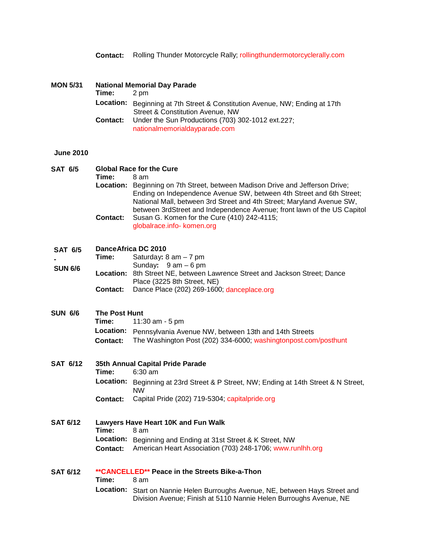| <b>Contact:</b> Rolling Thunder Motorcycle Rally; rollingthundermotorcyclerally.com |  |
|-------------------------------------------------------------------------------------|--|
|-------------------------------------------------------------------------------------|--|

| MON 5/31         | <b>National Memorial Day Parade</b><br>Time:<br>2 pm<br><b>Location:</b><br>Beginning at 7th Street & Constitution Avenue, NW; Ending at 17th |                                                                                                                                                                                                                                                                           |  |  |
|------------------|-----------------------------------------------------------------------------------------------------------------------------------------------|---------------------------------------------------------------------------------------------------------------------------------------------------------------------------------------------------------------------------------------------------------------------------|--|--|
|                  | Contact:                                                                                                                                      | Street & Constitution Avenue, NW<br>Under the Sun Productions (703) 302-1012 ext.227;<br>nationalmemorialdayparade.com                                                                                                                                                    |  |  |
| <b>June 2010</b> |                                                                                                                                               |                                                                                                                                                                                                                                                                           |  |  |
| SAT 6/5          | Time:                                                                                                                                         | <b>Global Race for the Cure</b><br>8 am<br>Location: Beginning on 7th Street, between Madison Drive and Jefferson Drive;<br>Ending on Independence Avenue SW, between 4th Street and 6th Street;<br>National Mall, between 3rd Street and 4th Street; Maryland Avenue SW, |  |  |
|                  | <b>Contact:</b>                                                                                                                               | between 3rdStreet and Independence Avenue; front lawn of the US Capitol<br>Susan G. Komen for the Cure (410) 242-4115;<br>globalrace.info- komen.org                                                                                                                      |  |  |
| <b>SAT 6/5</b>   | <b>DanceAfrica DC 2010</b><br>Saturday: $8 \text{ am} - 7 \text{ pm}$<br>Time:                                                                |                                                                                                                                                                                                                                                                           |  |  |
| <b>SUN 6/6</b>   | <b>Contact:</b>                                                                                                                               | Sunday: $9 \text{ am} - 6 \text{ pm}$<br>Location: 8th Street NE, between Lawrence Street and Jackson Street; Dance<br>Place (3225 8th Street, NE)<br>Dance Place (202) 269-1600; danceplace.org                                                                          |  |  |
| <b>SUN 6/6</b>   | <b>The Post Hunt</b>                                                                                                                          |                                                                                                                                                                                                                                                                           |  |  |
|                  | Time:<br>Location:<br><b>Contact:</b>                                                                                                         | 11:30 am - 5 pm<br>Pennsylvania Avenue NW, between 13th and 14th Streets<br>The Washington Post (202) 334-6000; washingtonpost.com/posthunt                                                                                                                               |  |  |
| <b>SAT 6/12</b>  | Time:                                                                                                                                         | 35th Annual Capital Pride Parade<br>$6:30$ am                                                                                                                                                                                                                             |  |  |
|                  | <b>Location:</b>                                                                                                                              | Beginning at 23rd Street & P Street, NW; Ending at 14th Street & N Street,<br><b>NW</b>                                                                                                                                                                                   |  |  |
|                  | <b>Contact:</b>                                                                                                                               | Capital Pride (202) 719-5304; capitalpride.org                                                                                                                                                                                                                            |  |  |
| <b>SAT 6/12</b>  | Time:<br><b>Location:</b>                                                                                                                     | Lawyers Have Heart 10K and Fun Walk<br>8 am                                                                                                                                                                                                                               |  |  |
|                  | Contact:                                                                                                                                      | Beginning and Ending at 31st Street & K Street, NW<br>American Heart Association (703) 248-1706; www.runlhh.org                                                                                                                                                           |  |  |
| SAT 6/12         | Time:                                                                                                                                         | **CANCELLED** Peace in the Streets Bike-a-Thon<br>8 am                                                                                                                                                                                                                    |  |  |
|                  | <b>Location:</b>                                                                                                                              | Start on Nannie Helen Burroughs Avenue, NE, between Hays Street and<br>Division Avenue; Finish at 5110 Nannie Helen Burroughs Avenue, NE                                                                                                                                  |  |  |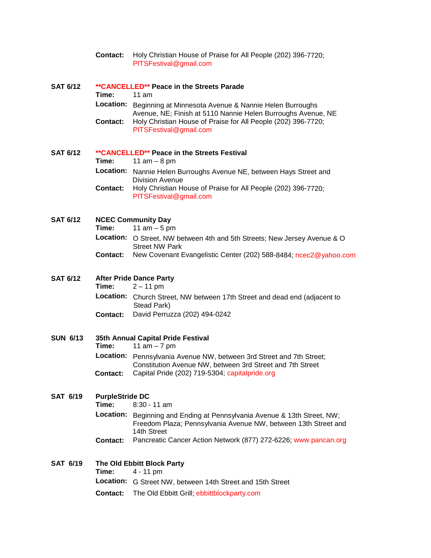|                 | <b>Contact:</b>                              | Holy Christian House of Praise for All People (202) 396-7720;<br>PITSFestival@gmail.com                                                                                                                                                                                                    |
|-----------------|----------------------------------------------|--------------------------------------------------------------------------------------------------------------------------------------------------------------------------------------------------------------------------------------------------------------------------------------------|
| <b>SAT 6/12</b> | Time:<br>Contact:                            | <b>**CANCELLED** Peace in the Streets Parade</b><br>11 $am$<br>Location: Beginning at Minnesota Avenue & Nannie Helen Burroughs<br>Avenue, NE; Finish at 5110 Nannie Helen Burroughs Avenue, NE<br>Holy Christian House of Praise for All People (202) 396-7720;<br>PITSFestival@gmail.com |
| <b>SAT 6/12</b> | Time:<br>Location:<br>Contact:               | <b>**CANCELLED** Peace in the Streets Festival</b><br>11 $am - 8 pm$<br>Nannie Helen Burroughs Avenue NE, between Hays Street and<br><b>Division Avenue</b><br>Holy Christian House of Praise for All People (202) 396-7720;<br>PITSFestival@gmail.com                                     |
| <b>SAT 6/12</b> | Time:<br><b>Location:</b><br><b>Contact:</b> | <b>NCEC Community Day</b><br>11 am $-5$ pm<br>O Street, NW between 4th and 5th Streets; New Jersey Avenue & O<br><b>Street NW Park</b><br>New Covenant Evangelistic Center (202) 588-8484; ncec2@yahoo.com                                                                                 |
| <b>SAT 6/12</b> | Time:<br><b>Location:</b><br><b>Contact:</b> | <b>After Pride Dance Party</b><br>$2 - 11$ pm<br>Church Street, NW between 17th Street and dead end (adjacent to<br>Stead Park)<br>David Perruzza (202) 494-0242                                                                                                                           |
| <b>SUN 6/13</b> | Time:<br>Location:<br>Contact:               | 35th Annual Capital Pride Festival<br>11 $am - 7 pm$<br>Pennsylvania Avenue NW, between 3rd Street and 7th Street;<br>Constitution Avenue NW, between 3rd Street and 7th Street<br>Capital Pride (202) 719-5304; capitalpride.org                                                          |
| <b>SAT 6/19</b> | <b>PurpleStride DC</b><br>Time:<br>Contact:  | $8:30 - 11$ am<br>Location: Beginning and Ending at Pennsylvania Avenue & 13th Street, NW;<br>Freedom Plaza; Pennsylvania Avenue NW, between 13th Street and<br>14th Street<br>Pancreatic Cancer Action Network (877) 272-6226; www.pancan.org                                             |
| <b>SAT 6/19</b> | Time:<br>Location:<br><b>Contact:</b>        | The Old Ebbitt Block Party<br>$4 - 11$ pm<br>G Street NW, between 14th Street and 15th Street<br>The Old Ebbitt Grill; ebbittblockparty.com                                                                                                                                                |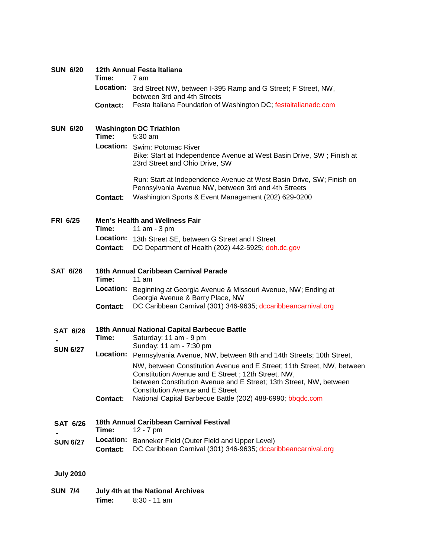| <b>SUN 6/20</b>  | Time:                        | 12th Annual Festa Italiana<br>7 am                                                                                                                                                                                                            |
|------------------|------------------------------|-----------------------------------------------------------------------------------------------------------------------------------------------------------------------------------------------------------------------------------------------|
|                  | Location:                    | 3rd Street NW, between I-395 Ramp and G Street; F Street, NW,<br>between 3rd and 4th Streets                                                                                                                                                  |
|                  | Contact:                     | Festa Italiana Foundation of Washington DC; festaitalianadc.com                                                                                                                                                                               |
| <b>SUN 6/20</b>  | Time:                        | <b>Washington DC Triathlon</b><br>$5:30$ am                                                                                                                                                                                                   |
|                  |                              | Location: Swim: Potomac River<br>Bike: Start at Independence Avenue at West Basin Drive, SW; Finish at<br>23rd Street and Ohio Drive, SW                                                                                                      |
|                  | Contact:                     | Run: Start at Independence Avenue at West Basin Drive, SW; Finish on<br>Pennsylvania Avenue NW, between 3rd and 4th Streets<br>Washington Sports & Event Management (202) 629-0200                                                            |
|                  |                              |                                                                                                                                                                                                                                               |
| <b>FRI 6/25</b>  | Time:                        | <b>Men's Health and Wellness Fair</b><br>11 am - 3 pm                                                                                                                                                                                         |
|                  | Contact:                     | Location: 13th Street SE, between G Street and I Street<br>DC Department of Health (202) 442-5925; doh.dc.gov                                                                                                                                 |
| <b>SAT 6/26</b>  | Time:                        | 18th Annual Caribbean Carnival Parade<br>11 am                                                                                                                                                                                                |
|                  | <b>Location:</b>             | Beginning at Georgia Avenue & Missouri Avenue, NW; Ending at<br>Georgia Avenue & Barry Place, NW                                                                                                                                              |
|                  | Contact:                     | DC Caribbean Carnival (301) 346-9635; dccaribbeancarnival.org                                                                                                                                                                                 |
| <b>SAT 6/26</b>  | Time:                        | 18th Annual National Capital Barbecue Battle<br>Saturday: 11 am - 9 pm<br>Sunday: 11 am - 7:30 pm                                                                                                                                             |
| <b>SUN 6/27</b>  | <b>Location:</b>             | Pennsylvania Avenue, NW, between 9th and 14th Streets; 10th Street,                                                                                                                                                                           |
|                  |                              | NW, between Constitution Avenue and E Street; 11th Street, NW, between<br>Constitution Avenue and E Street; 12th Street, NW,<br>between Constitution Avenue and E Street; 13th Street, NW, between<br><b>Constitution Avenue and E Street</b> |
|                  | <b>Contact:</b>              | National Capital Barbecue Battle (202) 488-6990; bbqdc.com                                                                                                                                                                                    |
| <b>SAT 6/26</b>  | Time:                        | 18th Annual Caribbean Carnival Festival<br>$12 - 7$ pm                                                                                                                                                                                        |
| <b>SUN 6/27</b>  | Location:<br><b>Contact:</b> | Banneker Field (Outer Field and Upper Level)<br>DC Caribbean Carnival (301) 346-9635; dccaribbeancarnival.org                                                                                                                                 |
| <b>July 2010</b> |                              |                                                                                                                                                                                                                                               |
| <b>SUN 7/4</b>   |                              | July 4th at the National Archives                                                                                                                                                                                                             |

**Time:** 8:30 - 11 am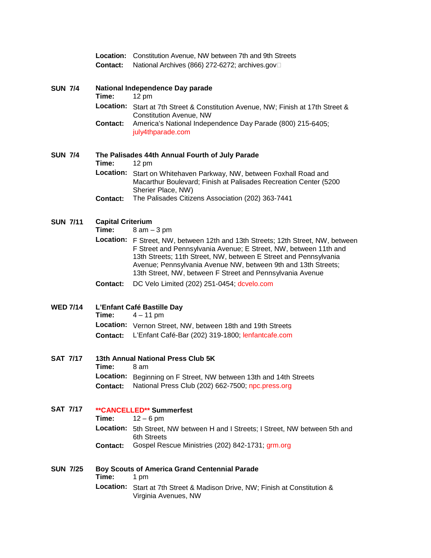**Contact:** National Archives (866) 272-6272; archives.gov

| <b>SUN 7/4</b>  | National Independence Day parade<br>Time:<br>$12 \text{ pm}$ |                                                                                                                                                                                                                                                                                                                                             |  |
|-----------------|--------------------------------------------------------------|---------------------------------------------------------------------------------------------------------------------------------------------------------------------------------------------------------------------------------------------------------------------------------------------------------------------------------------------|--|
|                 | Location:                                                    | Start at 7th Street & Constitution Avenue, NW; Finish at 17th Street &                                                                                                                                                                                                                                                                      |  |
|                 | Contact:                                                     | <b>Constitution Avenue, NW</b><br>America's National Independence Day Parade (800) 215-6405;<br>july4thparade.com                                                                                                                                                                                                                           |  |
| <b>SUN 7/4</b>  | Time:                                                        | The Palisades 44th Annual Fourth of July Parade<br>$12 \text{ pm}$                                                                                                                                                                                                                                                                          |  |
|                 | Location:                                                    | Start on Whitehaven Parkway, NW, between Foxhall Road and<br>Macarthur Boulevard; Finish at Palisades Recreation Center (5200<br>Sherier Place, NW)                                                                                                                                                                                         |  |
|                 | Contact:                                                     | The Palisades Citizens Association (202) 363-7441                                                                                                                                                                                                                                                                                           |  |
| <b>SUN 7/11</b> | <b>Capital Criterium</b><br>Time:                            | $8$ am $-3$ pm                                                                                                                                                                                                                                                                                                                              |  |
|                 | <b>Location:</b>                                             | F Street, NW, between 12th and 13th Streets; 12th Street, NW, between<br>F Street and Pennsylvania Avenue; E Street, NW, between 11th and<br>13th Streets; 11th Street, NW, between E Street and Pennsylvania<br>Avenue; Pennsylvania Avenue NW, between 9th and 13th Streets;<br>13th Street, NW, between F Street and Pennsylvania Avenue |  |
|                 | Contact:                                                     | DC Velo Limited (202) 251-0454; dcvelo.com                                                                                                                                                                                                                                                                                                  |  |
| <b>WED 7/14</b> | L'Enfant Café Bastille Day<br>$4 - 11$ pm<br>Time:           |                                                                                                                                                                                                                                                                                                                                             |  |
|                 | Contact:                                                     | Location: Vernon Street, NW, between 18th and 19th Streets<br>L'Enfant Café-Bar (202) 319-1800; lenfantcafe.com                                                                                                                                                                                                                             |  |
| <b>SAT 7/17</b> | 13th Annual National Press Club 5K<br>Time:<br>8 am          |                                                                                                                                                                                                                                                                                                                                             |  |
|                 | Location:<br><b>Contact:</b>                                 | Beginning on F Street, NW between 13th and 14th Streets<br>National Press Club (202) 662-7500; npc.press.org                                                                                                                                                                                                                                |  |
| <b>SAT 7/17</b> | Time:                                                        | <b>**CANCELLED** Summerfest</b><br>$12 - 6$ pm                                                                                                                                                                                                                                                                                              |  |
|                 | <b>Location:</b>                                             | 5th Street, NW between H and I Streets; I Street, NW between 5th and<br>6th Streets                                                                                                                                                                                                                                                         |  |
|                 | <b>Contact:</b>                                              | Gospel Rescue Ministries (202) 842-1731; grm.org                                                                                                                                                                                                                                                                                            |  |
| <b>SUN 7/25</b> | Time:                                                        | <b>Boy Scouts of America Grand Centennial Parade</b><br>1 pm                                                                                                                                                                                                                                                                                |  |
|                 |                                                              | Location: Start at 7th Street & Madison Drive, NW; Finish at Constitution &                                                                                                                                                                                                                                                                 |  |

Virginia Avenues, NW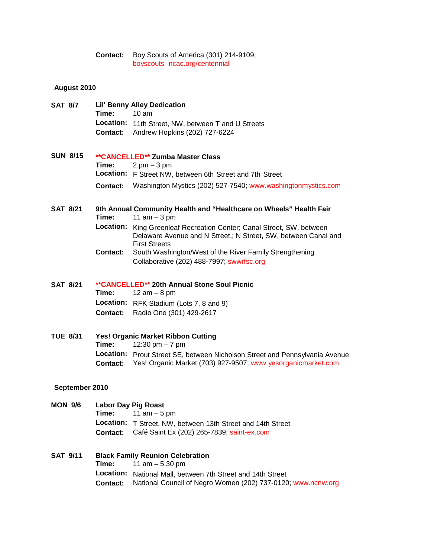**Contact:** Boy Scouts of America (301) 214-9109; [boyscouts-](http://www.boyscouts-ncac.org/centennial) [ncac.org/centennial](http://www.boyscouts-ncac.org/centennial)

### **August 2010**

| <b>SAT 8/7</b>  | Time:                      | <b>Lil' Benny Alley Dedication</b><br>10 <sub>am</sub>                                                                                                |
|-----------------|----------------------------|-------------------------------------------------------------------------------------------------------------------------------------------------------|
|                 | Contact:                   | Location: 11th Street, NW, between T and U Streets<br>Andrew Hopkins (202) 727-6224                                                                   |
| <b>SUN 8/15</b> |                            | <b>**CANCELLED** Zumba Master Class</b>                                                                                                               |
|                 | Time:                      | $2 \text{ pm} - 3 \text{ pm}$<br>Location: F Street NW, between 6th Street and 7th Street                                                             |
|                 | Contact:                   | Washington Mystics (202) 527-7540; www.washingtonmystics.com                                                                                          |
| <b>SAT 8/21</b> | Time:                      | 9th Annual Community Health and "Healthcare on Wheels" Health Fair<br>11 $am - 3 pm$                                                                  |
|                 | <b>Location:</b>           | King Greenleaf Recreation Center; Canal Street, SW, between<br>Delaware Avenue and N Street,; N Street, SW, between Canal and<br><b>First Streets</b> |
|                 | Contact:                   | South Washington/West of the River Family Strengthening<br>Collaborative (202) 488-7997; swwrfsc.org                                                  |
| <b>SAT 8/21</b> | Time:                      | <b>**CANCELLED** 20th Annual Stone Soul Picnic</b><br>12 $am - 8 pm$                                                                                  |
|                 | <b>Location:</b>           | RFK Stadium (Lots 7, 8 and 9)                                                                                                                         |
|                 | Contact:                   | Radio One (301) 429-2617                                                                                                                              |
| <b>TUE 8/31</b> | Time:                      | <b>Yes! Organic Market Ribbon Cutting</b><br>12:30 pm $-7$ pm                                                                                         |
|                 | Location:<br>Contact:      | Prout Street SE, between Nicholson Street and Pennsylvania Avenue<br>Yes! Organic Market (703) 927-9507; www.yesorganicmarket.com                     |
| September 2010  |                            |                                                                                                                                                       |
| <b>MON 9/6</b>  | <b>Labor Day Pig Roast</b> | <b>Time:</b> $11 \text{ am} - 5 \text{ pm}$                                                                                                           |
|                 |                            | Location: T Street, NW, between 13th Street and 14th Street                                                                                           |
|                 | Contact:                   | Café Saint Ex (202) 265-7839; saint-ex.com                                                                                                            |
| <b>SAT 9/11</b> |                            | <b>Black Family Reunion Celebration</b>                                                                                                               |
|                 | Time:<br>Location:         | 11 am $-5:30$ pm<br>National Mall, between 7th Street and 14th Street                                                                                 |
|                 | <b>Contact:</b>            | National Council of Negro Women (202) 737-0120; www.ncnw.org                                                                                          |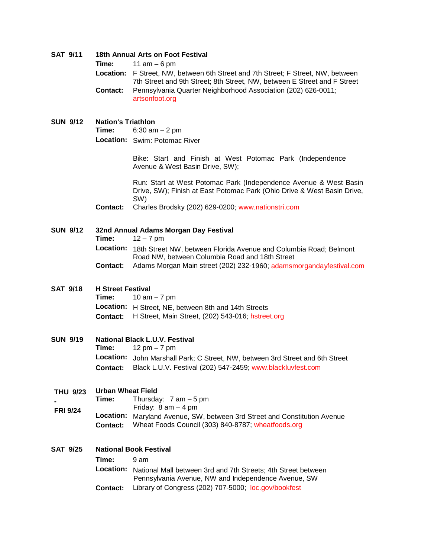| Time:<br><b>Location:</b><br><b>Contact:</b> | <b>18th Annual Arts on Foot Festival</b><br>11 $am - 6 pm$<br>F Street, NW, between 6th Street and 7th Street; F Street, NW, between<br>7th Street and 9th Street; 8th Street, NW, between E Street and F Street<br>Pennsylvania Quarter Neighborhood Association (202) 626-0011; |
|----------------------------------------------|-----------------------------------------------------------------------------------------------------------------------------------------------------------------------------------------------------------------------------------------------------------------------------------|
|                                              | artsonfoot.org                                                                                                                                                                                                                                                                    |
| <b>Nation's Triathlon</b><br>Time:           | 6:30 $am - 2 pm$<br>Location: Swim: Potomac River                                                                                                                                                                                                                                 |
|                                              | Bike: Start and Finish at West Potomac Park (Independence<br>Avenue & West Basin Drive, SW);                                                                                                                                                                                      |
|                                              | Run: Start at West Potomac Park (Independence Avenue & West Basin<br>Drive, SW); Finish at East Potomac Park (Ohio Drive & West Basin Drive,<br>SW)                                                                                                                               |
| Contact:                                     | Charles Brodsky (202) 629-0200; www.nationstri.com                                                                                                                                                                                                                                |
| Time:                                        | 32nd Annual Adams Morgan Day Festival<br>$12 - 7$ pm                                                                                                                                                                                                                              |
| Location:<br>Contact:                        | 18th Street NW, between Florida Avenue and Columbia Road; Belmont<br>Road NW, between Columbia Road and 18th Street<br>Adams Morgan Main street (202) 232-1960; adamsmorgandayfestival.com                                                                                        |
| <b>H</b> Street Festival<br>Time:            | 10 $am - 7$ pm<br>Location: H Street, NE, between 8th and 14th Streets                                                                                                                                                                                                            |
|                                              | H Street, Main Street, (202) 543-016; hstreet.org                                                                                                                                                                                                                                 |
| Time:<br>Location:<br><b>Contact:</b>        | <b>National Black L.U.V. Festival</b><br>12 pm $-7$ pm<br>John Marshall Park; C Street, NW, between 3rd Street and 6th Street<br>Black L.U.V. Festival (202) 547-2459; www.blackluvfest.com                                                                                       |
| <b>Urban Wheat Field</b><br>Time:            | Thursday: $7 \text{ am} - 5 \text{ pm}$<br>Friday: $8 \text{ am} - 4 \text{ pm}$                                                                                                                                                                                                  |
| Location:<br>Contact:                        | Maryland Avenue, SW, between 3rd Street and Constitution Avenue<br>Wheat Foods Council (303) 840-8787; wheatfoods.org                                                                                                                                                             |
| Time:<br>Location:<br><b>Contact:</b>        | <b>National Book Festival</b><br>9 am<br>National Mall between 3rd and 7th Streets; 4th Street between<br>Pennsylvania Avenue, NW and Independence Avenue, SW<br>Library of Congress (202) 707-5000; loc.gov/bookfest                                                             |
|                                              | <b>Contact:</b>                                                                                                                                                                                                                                                                   |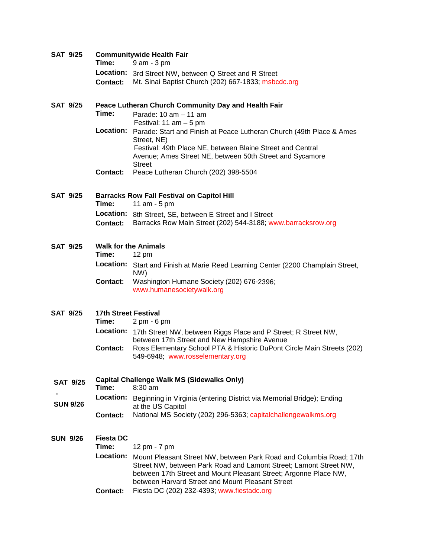### **SAT 9/25 Communitywide Health Fair**

| Time:    | $9$ am $-3$ pm                                         |
|----------|--------------------------------------------------------|
|          | Location: 3rd Street NW, between Q Street and R Street |
| Contact: | Mt. Sinai Baptist Church (202) 667-1833; msbcdc.org    |

### **SAT 9/25 Peace Lutheran Church Community Day and Health Fair Time:** Parade: 10 am – 11 am Festival: 11 am – 5 pm **Location:** Parade: Start and Finish at Peace Lutheran Church (49th Place & Ames Street, NE) Festival: 49th Place NE, between Blaine Street and Central Avenue; Ames Street NE, between 50th Street and Sycamore Street **Contact:** Peace Lutheran Church (202) 398-5504

| <b>SAT 9/25</b> | <b>Barracks Row Fall Festival on Capitol Hill</b> |                                                                       |  |
|-----------------|---------------------------------------------------|-----------------------------------------------------------------------|--|
|                 |                                                   | <b>Time:</b> $11 \text{ am} - 5 \text{ pm}$                           |  |
|                 |                                                   | Location: 8th Street, SE, between E Street and I Street               |  |
|                 |                                                   | Contact: Barracks Row Main Street (202) 544-3188; www.barracksrow.org |  |

**SAT 9/25 Walk for the Animals**

| Time: | $12 \text{ pm}$ |
|-------|-----------------|
|-------|-----------------|

- **Location:** Start and Finish at Marie Reed Learning Center (2200 Champlain Street, NW)
- **Contact:** Washington Humane Society (202) 676-2396; [www.humanesocietywalk.org](http://www.humanesocietywalk.org/)

# **SAT 9/25 17th Street Festival**

**Time:** 2 pm - 6 pm

|                 | Location: 17th Street NW, between Riggs Place and P Street; R Street NW, |
|-----------------|--------------------------------------------------------------------------|
|                 | between 17th Street and New Hampshire Avenue                             |
| <b>Contact:</b> | Ross Elementary School PTA & Historic DuPont Circle Main Streets (202)   |
|                 | 549-6948; www.rosselementary.org                                         |

| <b>SAT 9/25</b><br><b>SUN 9/26</b> | Time:<br><b>Location:</b><br><b>Contact:</b> | <b>Capital Challenge Walk MS (Sidewalks Only)</b><br>$8:30 \text{ am}$<br>Beginning in Virginia (entering District via Memorial Bridge); Ending<br>at the US Capitol<br>National MS Society (202) 296-5363; capital challenge walk ms.org |
|------------------------------------|----------------------------------------------|-------------------------------------------------------------------------------------------------------------------------------------------------------------------------------------------------------------------------------------------|
| SUN 9/26                           | Fiesta DC                                    |                                                                                                                                                                                                                                           |

| Time:           | 12 pm - 7 pm                                                                  |
|-----------------|-------------------------------------------------------------------------------|
|                 | Location: Mount Pleasant Street NW, between Park Road and Columbia Road; 17th |
|                 | Street NW, between Park Road and Lamont Street; Lamont Street NW,             |
|                 | between 17th Street and Mount Pleasant Street; Argonne Place NW,              |
|                 | between Harvard Street and Mount Pleasant Street                              |
| <b>Contact:</b> | Fiesta DC (202) 232-4393; www.fiestadc.org                                    |
|                 |                                                                               |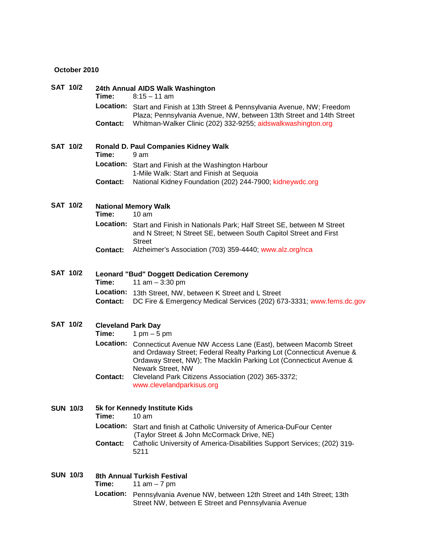### **October 2010**

|                 | <b>SAT 10/2</b> | Time:                              | 24th Annual AIDS Walk Washington<br>$8:15 - 11$ am                                                                                                                                                                                           |
|-----------------|-----------------|------------------------------------|----------------------------------------------------------------------------------------------------------------------------------------------------------------------------------------------------------------------------------------------|
|                 |                 | <b>Location:</b>                   | Start and Finish at 13th Street & Pennsylvania Avenue, NW; Freedom<br>Plaza; Pennsylvania Avenue, NW, between 13th Street and 14th Street                                                                                                    |
|                 |                 | <b>Contact:</b>                    | Whitman-Walker Clinic (202) 332-9255; aidswalkwashington.org                                                                                                                                                                                 |
|                 | <b>SAT 10/2</b> | Time:                              | <b>Ronald D. Paul Companies Kidney Walk</b><br>9 am                                                                                                                                                                                          |
|                 |                 | Location:                          | Start and Finish at the Washington Harbour<br>1-Mile Walk: Start and Finish at Sequoia                                                                                                                                                       |
|                 |                 | <b>Contact:</b>                    | National Kidney Foundation (202) 244-7900; kidneywdc.org                                                                                                                                                                                     |
| <b>SAT 10/2</b> |                 | Time:                              | <b>National Memory Walk</b><br>10 <sub>am</sub>                                                                                                                                                                                              |
|                 |                 | <b>Location:</b>                   | Start and Finish in Nationals Park; Half Street SE, between M Street<br>and N Street; N Street SE, between South Capitol Street and First<br><b>Street</b>                                                                                   |
|                 |                 | <b>Contact:</b>                    | Alzheimer's Association (703) 359-4440; www.alz.org/nca                                                                                                                                                                                      |
|                 | <b>SAT 10/2</b> | Time:                              | <b>Leonard "Bud" Doggett Dedication Ceremony</b><br>11 $am - 3:30 pm$                                                                                                                                                                        |
|                 |                 | Location:<br><b>Contact:</b>       | 13th Street, NW, between K Street and L Street<br>DC Fire & Emergency Medical Services (202) 673-3331; www.fems.dc.gov                                                                                                                       |
|                 | <b>SAT 10/2</b> | <b>Cleveland Park Day</b><br>Time: | 1 pm $-5$ pm                                                                                                                                                                                                                                 |
|                 |                 |                                    | Location: Connecticut Avenue NW Access Lane (East), between Macomb Street<br>and Ordaway Street; Federal Realty Parking Lot (Connecticut Avenue &<br>Ordaway Street, NW); The Macklin Parking Lot (Connecticut Avenue &<br>Newark Street, NW |
|                 |                 | <b>Contact:</b>                    | Cleveland Park Citizens Association (202) 365-3372;<br>www.clevelandparkisus.org                                                                                                                                                             |
|                 | <b>SUN 10/3</b> | Time:                              | 5k for Kennedy Institute Kids<br>$10 \text{ am}$                                                                                                                                                                                             |
|                 |                 | <b>Location:</b>                   | Start and finish at Catholic University of America-DuFour Center<br>(Taylor Street & John McCormack Drive, NE)                                                                                                                               |
|                 |                 | <b>Contact:</b>                    | Catholic University of America-Disabilities Support Services; (202) 319-<br>5211                                                                                                                                                             |
|                 | <b>SUN 10/3</b> |                                    | 8th Annual Turkish Festival                                                                                                                                                                                                                  |
|                 |                 | Time:                              | 11 $am - 7 pm$                                                                                                                                                                                                                               |
|                 |                 | Location:                          | Pennsylvania Avenue NW, between 12th Street and 14th Street; 13th<br>Street NW, between E Street and Pennsylvania Avenue                                                                                                                     |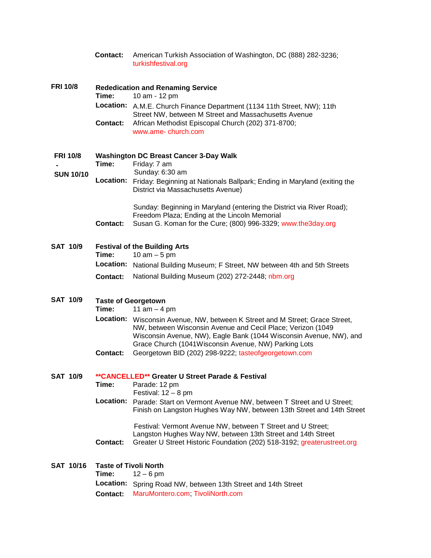|                  | Contact:                                                           | American Turkish Association of Washington, DC (888) 282-3236;<br>turkishfestival.org                                                                                                                                                                           |  |
|------------------|--------------------------------------------------------------------|-----------------------------------------------------------------------------------------------------------------------------------------------------------------------------------------------------------------------------------------------------------------|--|
| <b>FRI 10/8</b>  | <b>Rededication and Renaming Service</b><br>Time:<br>10 am - 12 pm |                                                                                                                                                                                                                                                                 |  |
|                  |                                                                    | Location: A.M.E. Church Finance Department (1134 11th Street, NW); 11th                                                                                                                                                                                         |  |
|                  | <b>Contact:</b>                                                    | Street NW, between M Street and Massachusetts Avenue<br>African Methodist Episcopal Church (202) 371-8700;<br>www.ame-church.com                                                                                                                                |  |
| <b>FRI 10/8</b>  | Time:                                                              | <b>Washington DC Breast Cancer 3-Day Walk</b><br>Friday: 7 am                                                                                                                                                                                                   |  |
| <b>SUN 10/10</b> |                                                                    | Sunday: 6:30 am                                                                                                                                                                                                                                                 |  |
|                  | <b>Location:</b>                                                   | Friday: Beginning at Nationals Ballpark; Ending in Maryland (exiting the<br>District via Massachusetts Avenue)                                                                                                                                                  |  |
|                  |                                                                    | Sunday: Beginning in Maryland (entering the District via River Road);                                                                                                                                                                                           |  |
|                  | Contact:                                                           | Freedom Plaza; Ending at the Lincoln Memorial<br>Susan G. Koman for the Cure; (800) 996-3329; www.the3day.org                                                                                                                                                   |  |
|                  |                                                                    |                                                                                                                                                                                                                                                                 |  |
| <b>SAT 10/9</b>  | Time:                                                              | <b>Festival of the Building Arts</b><br>10 am $-5$ pm                                                                                                                                                                                                           |  |
|                  | <b>Location:</b>                                                   | National Building Museum; F Street, NW between 4th and 5th Streets                                                                                                                                                                                              |  |
|                  | Contact:                                                           | National Building Museum (202) 272-2448; nbm.org                                                                                                                                                                                                                |  |
| <b>SAT 10/9</b>  |                                                                    | <b>Taste of Georgetown</b>                                                                                                                                                                                                                                      |  |
|                  | Time:                                                              | 11 $am - 4 pm$                                                                                                                                                                                                                                                  |  |
|                  | <b>Location:</b>                                                   | Wisconsin Avenue, NW, between K Street and M Street; Grace Street,<br>NW, between Wisconsin Avenue and Cecil Place; Verizon (1049<br>Wisconsin Avenue, NW), Eagle Bank (1044 Wisconsin Avenue, NW), and<br>Grace Church (1041Wisconsin Avenue, NW) Parking Lots |  |
|                  | <b>Contact:</b>                                                    | Georgetown BID (202) 298-9222; tasteofgeorgetown.com                                                                                                                                                                                                            |  |
| <b>SAT 10/9</b>  | Time:                                                              | <b>**CANCELLED** Greater U Street Parade &amp; Festival</b><br>Parade: 12 pm                                                                                                                                                                                    |  |
|                  | Location:                                                          | Festival: $12 - 8$ pm                                                                                                                                                                                                                                           |  |
|                  |                                                                    | Parade: Start on Vermont Avenue NW, between T Street and U Street;<br>Finish on Langston Hughes Way NW, between 13th Street and 14th Street                                                                                                                     |  |
|                  | Contact:                                                           | Festival: Vermont Avenue NW, between T Street and U Street;<br>Langston Hughes Way NW, between 13th Street and 14th Street<br>Greater U Street Historic Foundation (202) 518-3192; greaterustreet.org                                                           |  |
| <b>SAT 10/16</b> | <b>Taste of Tivoli North</b><br>Time:                              |                                                                                                                                                                                                                                                                 |  |
|                  | Location:                                                          | $12 - 6$ pm<br>Spring Road NW, between 13th Street and 14th Street                                                                                                                                                                                              |  |
|                  | <b>Contact:</b>                                                    | MaruMontero.com, TivoliNorth.com                                                                                                                                                                                                                                |  |
|                  |                                                                    |                                                                                                                                                                                                                                                                 |  |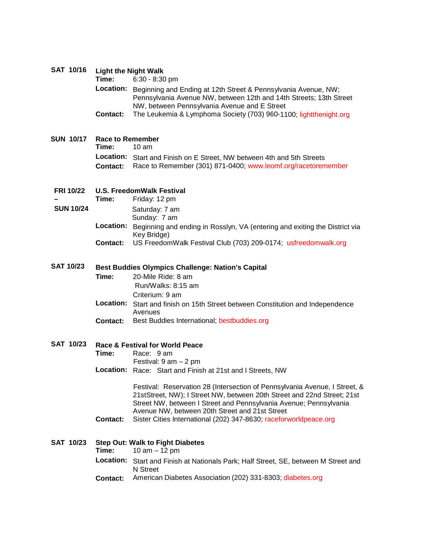# **SAT 10/16** Light the Night Walk<br>**Time:** 6:30 - 8:30

 $6:30 - 8:30$  pm

**Location:** Beginning and Ending at 12th Street & Pennsylvania Avenue, NW; Pennsylvania Avenue NW, between 12th and 14th Streets; 13th Street NW, between Pennsylvania Avenue and E Street

**Contact:** The Leukemia & Lymphoma Society (703) 960-1100; [lightthenight.org](http://www.lightthenight.org/)

### **SUN 10/17 Race to Remember**<br>**Time:** 10 am

**Time:** 10 am

**Location:** Start and Finish on E Street, NW between 4th and 5th Streets **Contact:** Race to Remember (301) 871-0400; [www.leomf.org/racetoremember](http://www.leomf.org/racetoremember)

#### **FRI 10/22 U.S. FreedomWalk Festival**

**Time:** Friday: 12 pm

**SUN 10/24**

**–**

- Saturday: 7 am Sunday: 7 am
	- **Location:** Beginning and ending in Rosslyn, VA (entering and exiting the District via Key Bridge)
	- **Contact:** US FreedomWalk Festival Club (703) 209-0174; [usfreedomwalk.org](http://www.usfreedomwalk.org/)

### **SAT 10/23 Best Buddies Olympics Challenge: Nation's Capital**

**Time:** 20-Mile Ride: 8 am Run/Walks: 8:15 am Criterium: 9 am **Location:** Start and finish on 15th Street between Constitution and Independence Avenues **Contact:** Best Buddies International; [bestbuddies.org](http://www.bestbuddies.org/)

### **SAT 10/23 Race & Festival for World Peace**

| Time: | Race: 9 am            |                                                            |
|-------|-----------------------|------------------------------------------------------------|
|       | Festival: 9 am – 2 pm |                                                            |
|       |                       | Location: Race: Start and Finish at 21st and I Streets, NW |

Festival: Reservation 28 (Intersection of Pennsylvania Avenue, I Street, & 21stStreet, NW); I Street NW, between 20th Street and 22nd Street; 21st Street NW, between I Street and Pennsylvania Avenue; Pennsylvania Avenue NW, between 20th Street and 21st Street

**Contact:** Sister Cities International (202) 347-8630; [raceforworldpeace.org](http://www.raceforworldpeace.org/)

### **SAT 10/23 Step Out: Walk to Fight Diabetes**

**Time:** 10 am – 12 pm

**Location:** Start and Finish at Nationals Park; Half Street, SE, between M Street and N Street

**Contact:** American Diabetes Association (202) 331-8303; [diabetes.org](http://www.diabetes.org/)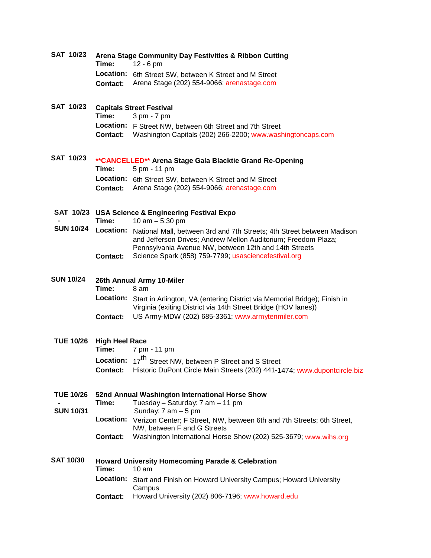| <b>SAT 10/23</b> | Arena Stage Community Day Festivities & Ribbon Cutting |                                                            |
|------------------|--------------------------------------------------------|------------------------------------------------------------|
|                  | <b>Time:</b> $12 - 6 \text{ pm}$                       |                                                            |
|                  |                                                        | Location: 6th Street SW, between K Street and M Street     |
|                  |                                                        | <b>Contact:</b> Arena Stage (202) 554-9066; arenastage.com |

### **SAT 10/23 Capitals Street Festival<br>Time:** 3 pm - 7 pm **Time:** 3 pm - 7 pm **Location:** F Street NW, between 6th Street and 7th Street **Contact:** Washington Capitals (202) 266-2200; [www.washingtoncaps.com](http://www.washingtoncaps.com/)

- **SAT 10/23 \*\*CANCELLED\*\* Arena Stage Gala Blacktie Grand Re-Opening Time:** 5 pm - 11 pm **Location:** 6th Street SW, between K Street and M Street
	- **Contact:** Arena Stage (202) 554-9066; [arenastage.com](http://www.arenastage.com/)

#### **SAT 10/23 USA Science & Engineering Festival Expo**

- **- Time:** 10 am – 5:30 pm
- **SUN 10/24 Location:** National Mall, between 3rd and 7th Streets; 4th Street between Madison and Jefferson Drives; Andrew Mellon Auditorium; Freedom Plaza; Pennsylvania Avenue NW, between 12th and 14th Streets **Contact:** Science Spark (858) 759-7799; [usasciencefestival.org](http://usasciencefestival.org/)

| <b>SUN 10/24</b> | 26th Annual Army 10-Miler |                                                                                                                                                       |  |
|------------------|---------------------------|-------------------------------------------------------------------------------------------------------------------------------------------------------|--|
|                  | Time:                     | 8 am                                                                                                                                                  |  |
|                  |                           | Location: Start in Arlington, VA (entering District via Memorial Bridge); Finish in<br>Virginia (exiting District via 14th Street Bridge (HOV lanes)) |  |
|                  |                           | Contact: US Army-MDW (202) 685-3361; www.armytenmiler.com                                                                                             |  |
|                  |                           |                                                                                                                                                       |  |

- **TUE 10/26 High Heel Race**
	- **Time:** 7 pm 11 pm
	- Location: 17<sup>th</sup> Street NW, between P Street and S Street **Contact:** Historic DuPont Circle Main Streets (202) 441-1474; [www.dupontcircle.biz](http://www.dupontcircle.biz/)

|                  | TUE 10/26 52nd Annual Washington International Horse Show |                                                                                                       |  |
|------------------|-----------------------------------------------------------|-------------------------------------------------------------------------------------------------------|--|
|                  | Time:                                                     | Tuesday – Saturday: $7 \text{ am} - 11 \text{ pm}$                                                    |  |
| <b>SUN 10/31</b> |                                                           | Sunday: $7 \text{ am} - 5 \text{ pm}$                                                                 |  |
|                  | <b>Location:</b>                                          | Verizon Center; F Street, NW, between 6th and 7th Streets; 6th Street,<br>NW, between F and G Streets |  |
|                  | Contact:                                                  | Washington International Horse Show (202) 525-3679; www.wihs.org                                      |  |
| <b>SAT 10/30</b> |                                                           | <b>Howard University Homecoming Parade &amp; Celebration</b>                                          |  |
|                  | Time:                                                     | $10 \text{ am}$                                                                                       |  |
|                  | Location:                                                 | Start and Finish on Howard University Campus; Howard University<br>Campus                             |  |

**Contact:** Howard University (202) 806-7196; [www.howard.edu](http://www.howard.edu/)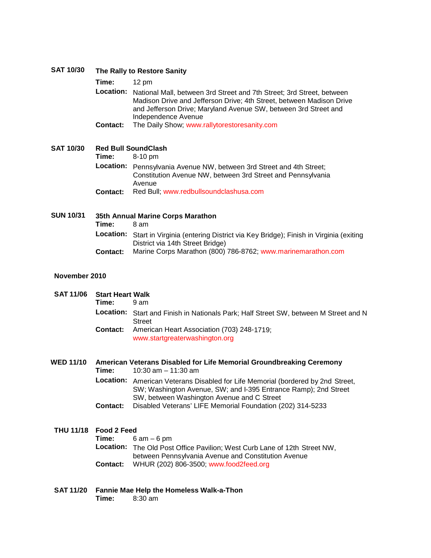### **SAT 10/30 The Rally to Restore Sanity**

**Time:** 12 pm

**Location:** National Mall, between 3rd Street and 7th Street; 3rd Street, between Madison Drive and Jefferson Drive; 4th Street, between Madison Drive and Jefferson Drive; Maryland Avenue SW, between 3rd Street and Independence Avenue

**Contact:** The Daily Show; [www.rallytorestoresanity.com](http://www.rallytorestoresanity.com/)

### **SAT 10/30 Red Bull SoundClash**<br>Time: 8-10 pm **Time:** 8-10 pm Location: Pennsylvania Avenue NW, between 3rd Street and 4th Street; Constitution Avenue NW, between 3rd Street and Pennsylvania Avenue

#### **Contact:** Red Bull; [www.redbullsoundclashusa.com](http://www.redbullsoundclashusa.com/)

**SUN 10/31 35th Annual Marine Corps Marathon Time: Location:** Start in Virginia (entering District via Key Bridge); Finish in Virginia (exiting District via 14th Street Bridge) **Contact:** Marine Corps Marathon (800) 786-8762; [www.marinemarathon.com](http://www.marinemarathon.com/)

### **November 2010**

| <b>SAT 11/06</b>      | <b>Start Heart Walk</b><br>Time:<br>Location:<br>Contact: | 9 am<br>Start and Finish in Nationals Park; Half Street SW, between M Street and N<br><b>Street</b><br>American Heart Association (703) 248-1719;<br>www.startgreaterwashington.org                                                                                                                                                                             |
|-----------------------|-----------------------------------------------------------|-----------------------------------------------------------------------------------------------------------------------------------------------------------------------------------------------------------------------------------------------------------------------------------------------------------------------------------------------------------------|
| <b>WED 11/10</b>      | Time:<br>Contact:                                         | American Veterans Disabled for Life Memorial Groundbreaking Ceremony<br>10:30 am $-$ 11:30 am<br>Location: American Veterans Disabled for Life Memorial (bordered by 2nd Street,<br>SW; Washington Avenue, SW; and I-395 Entrance Ramp); 2nd Street<br>SW, between Washington Avenue and C Street<br>Disabled Veterans' LIFE Memorial Foundation (202) 314-5233 |
| THU 11/18 Food 2 Feed | Time:<br>Location:<br><b>Contact:</b>                     | 6 am – 6 pm<br>The Old Post Office Pavilion; West Curb Lane of 12th Street NW,<br>between Pennsylvania Avenue and Constitution Avenue<br>WHUR (202) 806-3500; www.food2feed.org                                                                                                                                                                                 |

#### **SAT 11/20 Fannie Mae Help the Homeless Walk-a-Thon Time:** 8:30 am